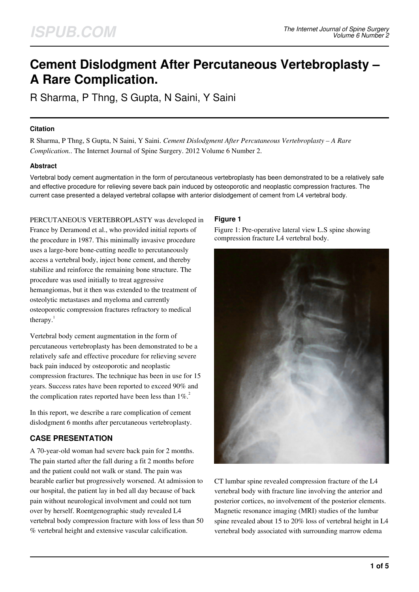# **Cement Dislodgment After Percutaneous Vertebroplasty – A Rare Complication.**

R Sharma, P Thng, S Gupta, N Saini, Y Saini

## **Citation**

R Sharma, P Thng, S Gupta, N Saini, Y Saini. *Cement Dislodgment After Percutaneous Vertebroplasty – A Rare Complication.*. The Internet Journal of Spine Surgery. 2012 Volume 6 Number 2.

## **Abstract**

Vertebral body cement augmentation in the form of percutaneous vertebroplasty has been demonstrated to be a relatively safe and effective procedure for relieving severe back pain induced by osteoporotic and neoplastic compression fractures. The current case presented a delayed vertebral collapse with anterior dislodgement of cement from L4 vertebral body.

PERCUTANEOUS VERTEBROPLASTY was developed in France by Deramond et al., who provided initial reports of the procedure in 1987. This minimally invasive procedure uses a large-bore bone-cutting needle to percutaneously access a vertebral body, inject bone cement, and thereby stabilize and reinforce the remaining bone structure. The procedure was used initially to treat aggressive hemangiomas, but it then was extended to the treatment of osteolytic metastases and myeloma and currently osteoporotic compression fractures refractory to medical therapy. $<sup>1</sup>$ </sup>

Vertebral body cement augmentation in the form of percutaneous vertebroplasty has been demonstrated to be a relatively safe and effective procedure for relieving severe back pain induced by osteoporotic and neoplastic compression fractures. The technique has been in use for 15 years. Success rates have been reported to exceed 90% and the complication rates reported have been less than  $1\%$ <sup>2</sup>

In this report, we describe a rare complication of cement dislodgment 6 months after percutaneous vertebroplasty.

# **CASE PRESENTATION**

A 70-year-old woman had severe back pain for 2 months. The pain started after the fall during a fit 2 months before and the patient could not walk or stand. The pain was bearable earlier but progressively worsened. At admission to our hospital, the patient lay in bed all day because of back pain without neurological involvment and could not turn over by herself. Roentgenographic study revealed L4 vertebral body compression fracture with loss of less than 50 % vertebral height and extensive vascular calcification.

# **Figure 1**

Figure 1: Pre-operative lateral view L.S spine showing compression fracture L4 vertebral body.



CT lumbar spine revealed compression fracture of the L4 vertebral body with fracture line involving the anterior and posterior cortices, no involvement of the posterior elements. Magnetic resonance imaging (MRI) studies of the lumbar spine revealed about 15 to 20% loss of vertebral height in L4 vertebral body associated with surrounding marrow edema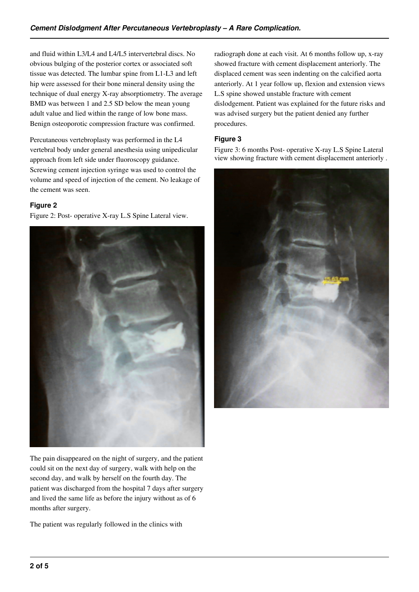and fluid within L3/L4 and L4/L5 intervertebral discs. No obvious bulging of the posterior cortex or associated soft tissue was detected. The lumbar spine from L1-L3 and left hip were assessed for their bone mineral density using the technique of dual energy X-ray absorptiometry. The average BMD was between 1 and 2.5 SD below the mean young adult value and lied within the range of low bone mass. Benign osteoporotic compression fracture was confirmed.

Percutaneous vertebroplasty was performed in the L4 vertebral body under general anesthesia using unipedicular approach from left side under fluoroscopy guidance. Screwing cement injection syringe was used to control the volume and speed of injection of the cement. No leakage of the cement was seen.

# **Figure 2**

Figure 2: Post- operative X-ray L.S Spine Lateral view.



The pain disappeared on the night of surgery, and the patient could sit on the next day of surgery, walk with help on the second day, and walk by herself on the fourth day. The patient was discharged from the hospital 7 days after surgery and lived the same life as before the injury without as of 6 months after surgery.

The patient was regularly followed in the clinics with

radiograph done at each visit. At 6 months follow up, x-ray showed fracture with cement displacement anteriorly. The displaced cement was seen indenting on the calcified aorta anteriorly. At 1 year follow up, flexion and extension views L.S spine showed unstable fracture with cement dislodgement. Patient was explained for the future risks and was advised surgery but the patient denied any further procedures.

# **Figure 3**

Figure 3: 6 months Post- operative X-ray L.S Spine Lateral view showing fracture with cement displacement anteriorly .

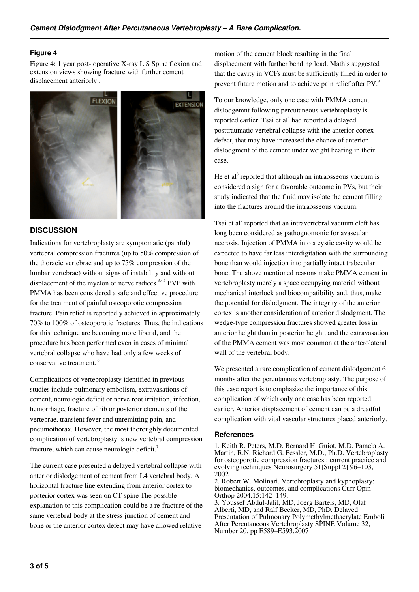## **Figure 4**

Figure 4: 1 year post- operative X-ray L.S Spine flexion and extension views showing fracture with further cement displacement anteriorly .



## **DISCUSSION**

Indications for vertebroplasty are symptomatic (painful) vertebral compression fractures (up to 50% compression of the thoracic vertebrae and up to 75% compression of the lumbar vertebrae) without signs of instability and without displacement of the myelon or nerve radices.<sup>3,4,5</sup> PVP with PMMA has been considered a safe and effective procedure for the treatment of painful osteoporotic compression fracture. Pain relief is reportedly achieved in approximately 70% to 100% of osteoporotic fractures. Thus, the indications for this technique are becoming more liberal, and the procedure has been performed even in cases of minimal vertebral collapse who have had only a few weeks of conservative treatment.<sup>6</sup>

Complications of vertebroplasty identified in previous studies include pulmonary embolism, extravasations of cement, neurologic deficit or nerve root irritation, infection, hemorrhage, fracture of rib or posterior elements of the vertebrae, transient fever and unremitting pain, and pneumothorax. However, the most thoroughly documented complication of vertebroplasty is new vertebral compression fracture, which can cause neurologic deficit.<sup>7</sup>

The current case presented a delayed vertebral collapse with anterior dislodgement of cement from L4 vertebral body. A horizontal fracture line extending from anterior cortex to posterior cortex was seen on CT spine The possible explanation to this complication could be a re-fracture of the same vertebral body at the stress junction of cement and bone or the anterior cortex defect may have allowed relative

motion of the cement block resulting in the final displacement with further bending load. Mathis suggested that the cavity in VCFs must be sufficiently filled in order to prevent future motion and to achieve pain relief after PV.<sup>8</sup>

To our knowledge, only one case with PMMA cement dislodgemnt following percutaneous vertebroplasty is reported earlier. Tsai et al<sup>4</sup> had reported a delayed posttraumatic vertebral collapse with the anterior cortex defect, that may have increased the chance of anterior dislodgment of the cement under weight bearing in their case.

He et  $al<sup>8</sup>$  reported that although an intraosseous vacuum is considered a sign for a favorable outcome in PVs, but their study indicated that the fluid may isolate the cement filling into the fractures around the intraosseous vacuum.

Tsai et al<sup>9</sup> reported that an intravertebral vacuum cleft has long been considered as pathognomonic for avascular necrosis. Injection of PMMA into a cystic cavity would be expected to have far less interdigitation with the surrounding bone than would injection into partially intact trabecular bone. The above mentioned reasons make PMMA cement in vertebroplasty merely a space occupying material without mechanical interlock and biocompatibility and, thus, make the potential for dislodgment. The integrity of the anterior cortex is another consideration of anterior dislodgment. The wedge-type compression fractures showed greater loss in anterior height than in posterior height, and the extravasation of the PMMA cement was most common at the anterolateral wall of the vertebral body.

We presented a rare complication of cement dislodgement 6 months after the percutanous vertebroplasty. The purpose of this case report is to emphasize the importance of this complication of which only one case has been reported earlier. Anterior displacement of cement can be a dreadful complication with vital vascular structures placed anteriorly.

#### **References**

1. Keith R. Peters, M.D. Bernard H. Guiot, M.D. Pamela A. Martin, R.N. Richard G. Fessler, M.D., Ph.D. Vertebroplasty for osteoporotic compression fractures : current practice and evolving techniques Neurosurgery 51[Suppl 2]:96–103, 2002

2. Robert W. Molinari. Vertebroplasty and kyphoplasty: biomechanics, outcomes, and complications Curr Opin Orthop 2004.15:142–149.

3. Youssef Abdul-Jalil, MD, Joerg Bartels, MD, Olaf Alberti, MD, and Ralf Becker, MD, PhD. Delayed Presentation of Pulmonary Polymethylmethacrylate Emboli After Percutaneous Vertebroplasty SPINE Volume 32, Number 20, pp E589–E593,2007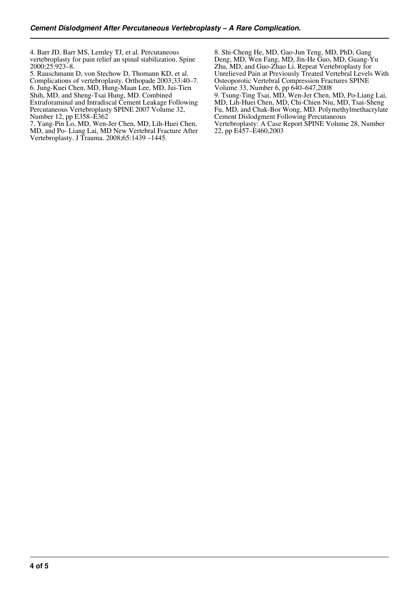4. Barr JD, Barr MS, Lemley TJ, et al. Percutaneous vertebroplasty for pain relief an spinal stabilization. Spine 2000;25:923–8.

5. Rauschmann D, von Stechow D, Thomann KD, et al. Complications of vertebroplasty. Orthopade 2003;33:40–7. 6. Jung-Kuei Chen, MD, Hung-Maan Lee, MD, Jui-Tien Shih, MD, and Sheng-Tsai Hung, MD. Combined Extraforaminal and Intradiscal Cement Leakage Following Percutaneous Vertebroplasty SPINE 2007 Volume 32, Number 12, pp E358–E362

7. Yang-Pin Lo, MD, Wen-Jer Chen, MD, Lih-Huei Chen, MD, and Po- Liang Lai, MD New Vertebral Fracture After Vertebroplasty. J Trauma. 2008;65:1439 –1445.

8. Shi-Cheng He, MD, Gao-Jun Teng, MD, PhD, Gang Deng, MD, Wen Fang, MD, Jin-He Guo, MD, Guang-Yu Zhu, MD, and Guo-Zhao Li. Repeat Vertebroplasty for Unrelieved Pain at Previously Treated Vertebral Levels With Osteoporotic Vertebral Compression Fractures SPINE Volume 33, Number 6, pp 640–647,2008

9. Tsung-Ting Tsai, MD, Wen-Jer Chen, MD, Po-Liang Lai, MD, Lih-Huei Chen, MD, Chi-Chien Niu, MD, Tsai-Sheng Fu, MD, and Chak-Bor Wong, MD. Polymethylmethacrylate Cement Dislodgment Following Percutaneous Vertebroplasty: A Case Report SPINE Volume 28, Number 22, pp E457–E460,2003